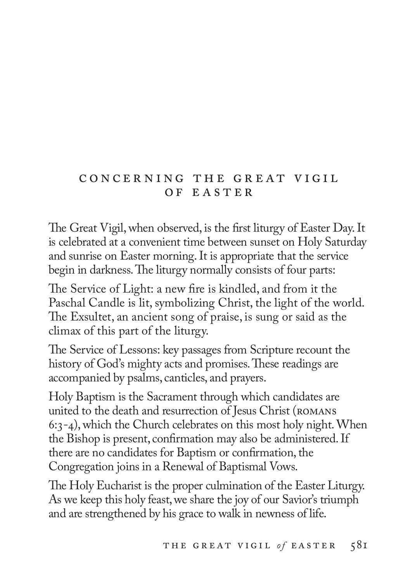# c o n c e r n i n g t h e g r e at v i g i l OF EASTER

The Great Vigil, when observed, is the first liturgy of Easter Day. It is celebrated at a convenient time between sunset on Holy Saturday and sunrise on Easter morning. It is appropriate that the service begin in darkness. The liturgy normally consists of four parts:

The Service of Light: a new fire is kindled, and from it the Paschal Candle is lit, symbolizing Christ, the light of the world. The Exsultet, an ancient song of praise, is sung or said as the climax of this part of the liturgy.

The Service of Lessons: key passages from Scripture recount the history of God's mighty acts and promises. These readings are accompanied by psalms, canticles, and prayers.

Holy Baptism is the Sacrament through which candidates are united to the death and resurrection of Jesus Christ (romans 6:3-4), which the Church celebrates on this most holy night. When the Bishop is present, confirmation may also be administered. If there are no candidates for Baptism or confirmation, the Congregation joins in a Renewal of Baptismal Vows.

The Holy Eucharist is the proper culmination of the Easter Liturgy. As we keep this holy feast, we share the joy of our Savior's triumph and are strengthened by his grace to walk in newness of life.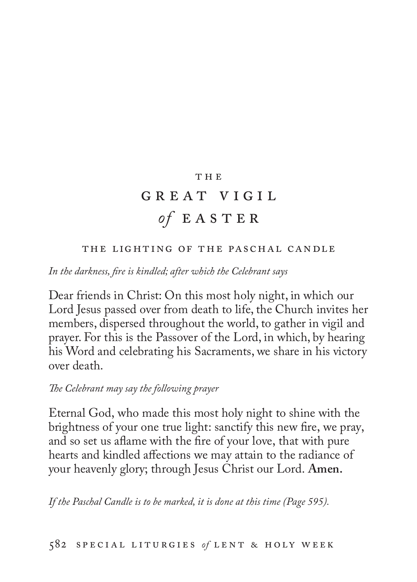## T H E

# GREAT VIGIL  $of$  E A S T E R

## the lighting of the paschal candle

*In the darkness, fire is kindled; after which the Celebrant says*

Dear friends in Christ: On this most holy night, in which our Lord Jesus passed over from death to life, the Church invites her members, dispersed throughout the world, to gather in vigil and prayer. For this is the Passover of the Lord, in which, by hearing his Word and celebrating his Sacraments, we share in his victory over death.

## *The Celebrant may say the following prayer*

Eternal God, who made this most holy night to shine with the brightness of your one true light: sanctify this new fire, we pray, and so set us aflame with the fire of your love, that with pure hearts and kindled affections we may attain to the radiance of your heavenly glory; through Jesus Christ our Lord. **Amen.**

*If the Paschal Candle is to be marked, it is done at this time (Page 595).*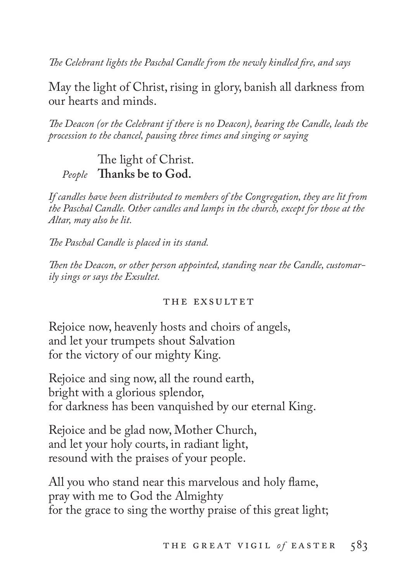*The Celebrant lights the Paschal Candle from the newly kindled fire, and says*

May the light of Christ, rising in glory, banish all darkness from our hearts and minds.

*The Deacon (or the Celebrant if there is no Deacon), bearing the Candle, leads the procession to the chancel, pausing three times and singing or saying*

# The light of Christ. *People* **Thanks be to God.**

*If candles have been distributed to members of the Congregation, they are lit from the Paschal Candle. Other candles and lamps in the church, except for those at the Altar, may also be lit.*

*The Paschal Candle is placed in its stand.*

*Then the Deacon, or other person appointed, standing near the Candle, customarily sings or says the Exsultet.* 

#### THE EXSULTET

Rejoice now, heavenly hosts and choirs of angels, and let your trumpets shout Salvation for the victory of our mighty King.

Rejoice and sing now, all the round earth, bright with a glorious splendor, for darkness has been vanquished by our eternal King.

Rejoice and be glad now, Mother Church, and let your holy courts, in radiant light, resound with the praises of your people.

All you who stand near this marvelous and holy flame, pray with me to God the Almighty for the grace to sing the worthy praise of this great light;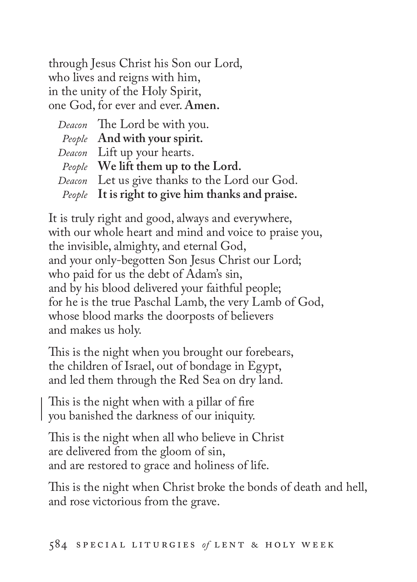through Jesus Christ his Son our Lord, who lives and reigns with him, in the unity of the Holy Spirit, one God, for ever and ever. **Amen.**

| Deacon The Lord be with you.                      |
|---------------------------------------------------|
| People And with your spirit.                      |
| Deacon Lift up your hearts.                       |
| People We lift them up to the Lord.               |
| Deacon Let us give thanks to the Lord our God.    |
| People It is right to give him thanks and praise. |

It is truly right and good, always and everywhere, with our whole heart and mind and voice to praise you, the invisible, almighty, and eternal God, and your only-begotten Son Jesus Christ our Lord; who paid for us the debt of Adam's sin, and by his blood delivered your faithful people; for he is the true Paschal Lamb, the very Lamb of God, whose blood marks the doorposts of believers and makes us holy.

This is the night when you brought our forebears, the children of Israel, out of bondage in Egypt, and led them through the Red Sea on dry land.

This is the night when with a pillar of fire you banished the darkness of our iniquity.

This is the night when all who believe in Christ are delivered from the gloom of sin, and are restored to grace and holiness of life.

This is the night when Christ broke the bonds of death and hell, and rose victorious from the grave.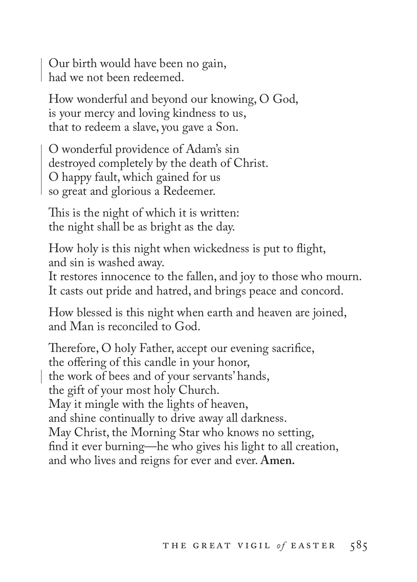Our birth would have been no gain, had we not been redeemed.

How wonderful and beyond our knowing, O God, is your mercy and loving kindness to us, that to redeem a slave, you gave a Son.

O wonderful providence of Adam's sin destroyed completely by the death of Christ. O happy fault, which gained for us so great and glorious a Redeemer.

This is the night of which it is written: the night shall be as bright as the day.

How holy is this night when wickedness is put to flight, and sin is washed away.

It restores innocence to the fallen, and joy to those who mourn. It casts out pride and hatred, and brings peace and concord.

How blessed is this night when earth and heaven are joined, and Man is reconciled to God.

Therefore, O holy Father, accept our evening sacrifice, the offering of this candle in your honor, the work of bees and of your servants' hands, the gift of your most holy Church. May it mingle with the lights of heaven, and shine continually to drive away all darkness. May Christ, the Morning Star who knows no setting, find it ever burning—he who gives his light to all creation, and who lives and reigns for ever and ever. **Amen.**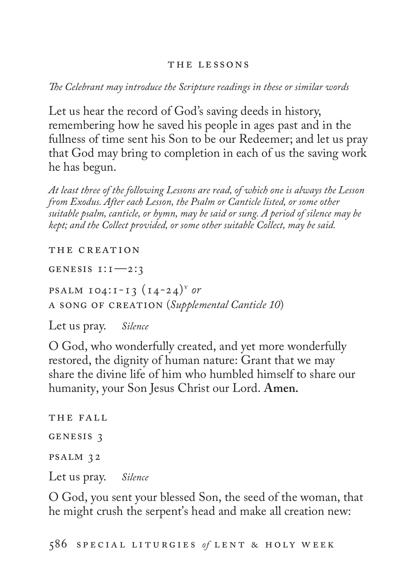#### THE LESSONS

*The Celebrant may introduce the Scripture readings in these or similar words*

Let us hear the record of God's saving deeds in history, remembering how he saved his people in ages past and in the fullness of time sent his Son to be our Redeemer; and let us pray that God may bring to completion in each of us the saving work he has begun.

*At least three of the following Lessons are read, of which one is always the Lesson from Exodus. After each Lesson, the Psalm or Canticle listed, or some other suitable psalm, canticle, or hymn, may be said or sung. A period of silence may be kept; and the Collect provided, or some other suitable Collect, may be said.*

THE CREATION

genesis 1:1—2:3

**PSALM 104:1-13**  $(14-24)^{v}$  or a song of creation (*Supplemental Canticle 10*)

Let us pray. *Silence*

O God, who wonderfully created, and yet more wonderfully restored, the dignity of human nature: Grant that we may share the divine life of him who humbled himself to share our humanity, your Son Jesus Christ our Lord. **Amen.**

THE FALL genesis 3 psalm 32 Let us pray. *Silence*

O God, you sent your blessed Son, the seed of the woman, that he might crush the serpent's head and make all creation new: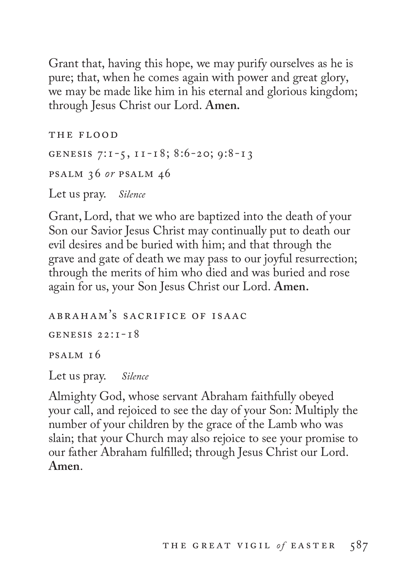Grant that, having this hope, we may purify ourselves as he is pure; that, when he comes again with power and great glory, we may be made like him in his eternal and glorious kingdom; through Jesus Christ our Lord. **Amen.** 

THE FLOOD genesis 7:1-5, 11-18; 8:6-20; 9:8-13 psalm 36 *or* psalm 46 Let us pray. *Silence*

Grant, Lord, that we who are baptized into the death of your Son our Savior Jesus Christ may continually put to death our evil desires and be buried with him; and that through the grave and gate of death we may pass to our joyful resurrection; through the merits of him who died and was buried and rose again for us, your Son Jesus Christ our Lord. **Amen.** 

abraham's sacrifice of isaac GENESIS  $22:1-18$ psalm 16 Let us pray. *Silence*

Almighty God, whose servant Abraham faithfully obeyed your call, and rejoiced to see the day of your Son: Multiply the number of your children by the grace of the Lamb who was slain; that your Church may also rejoice to see your promise to our father Abraham fulfilled; through Jesus Christ our Lord. **Amen**.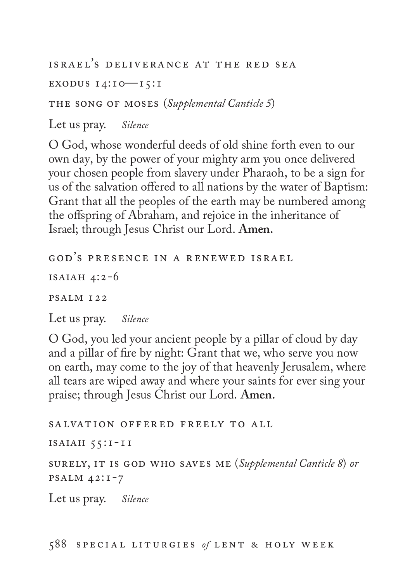israel's deliverance at the red sea

EXODUS  $14:10$   $-15:1$ 

the song of moses (*Supplemental Canticle 5*)

Let us pray. *Silence*

O God, whose wonderful deeds of old shine forth even to our own day, by the power of your mighty arm you once delivered your chosen people from slavery under Pharaoh, to be a sign for us of the salvation offered to all nations by the water of Baptism: Grant that all the peoples of the earth may be numbered among the offspring of Abraham, and rejoice in the inheritance of Israel; through Jesus Christ our Lord. **Amen.** 

god's presence in a renewed israel

ISAIAH  $4:2-6$ 

psalm 122

Let us pray. *Silence*

O God, you led your ancient people by a pillar of cloud by day and a pillar of fire by night: Grant that we, who serve you now on earth, may come to the joy of that heavenly Jerusalem, where all tears are wiped away and where your saints for ever sing your praise; through Jesus Christ our Lord. **Amen.**

salvation offered freely to all

isaiah 55:1-11

surely, it is god who saves me (*Supplemental Canticle 8*) *or* psalm 42:1-7

Let us pray. *Silence*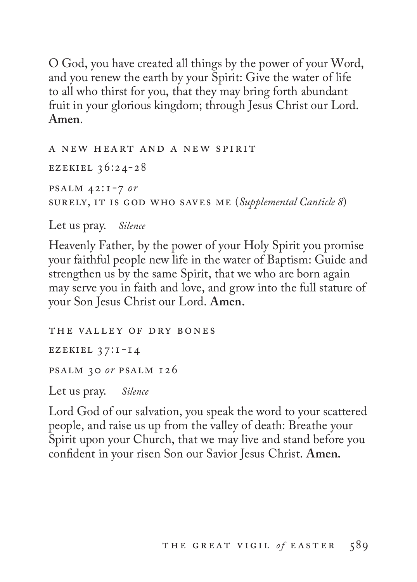O God, you have created all things by the power of your Word, and you renew the earth by your Spirit: Give the water of life to all who thirst for you, that they may bring forth abundant fruit in your glorious kingdom; through Jesus Christ our Lord. **Amen**.

a new heart and a new spirit ezekiel 36:24-28 psalm 42:1-7 *or* surely, it is god who saves me (*Supplemental Canticle 8*)

Let us pray. *Silence*

Heavenly Father, by the power of your Holy Spirit you promise your faithful people new life in the water of Baptism: Guide and strengthen us by the same Spirit, that we who are born again may serve you in faith and love, and grow into the full stature of your Son Jesus Christ our Lord. **Amen.**

the valley of dry bones ezekiel 37:1-14 psalm 30 *or* psalm 126 Let us pray. *Silence*

Lord God of our salvation, you speak the word to your scattered people, and raise us up from the valley of death: Breathe your Spirit upon your Church, that we may live and stand before you confident in your risen Son our Savior Jesus Christ. **Amen.**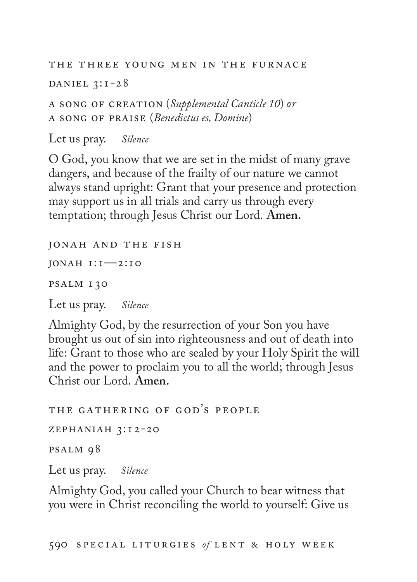the three young men in the furnace DANIEL  $3:1-28$ 

a song of creation (*Supplemental Canticle 10*) *or* a song of praise (*Benedictus es, Domine*)

Let us pray. *Silence*

O God, you know that we are set in the midst of many grave dangers, and because of the frailty of our nature we cannot always stand upright: Grant that your presence and protection may support us in all trials and carry us through every temptation; through Jesus Christ our Lord. **Amen.**

jonah and the fish

jonah 1:1—2:10

psalm 130

Let us pray. *Silence*

Almighty God, by the resurrection of your Son you have brought us out of sin into righteousness and out of death into life: Grant to those who are sealed by your Holy Spirit the will and the power to proclaim you to all the world; through Jesus Christ our Lord. **Amen.**

the gathering of god's people zephaniah 3:12-20 psalm 98 Let us pray. *Silence*

Almighty God, you called your Church to bear witness that you were in Christ reconciling the world to yourself: Give us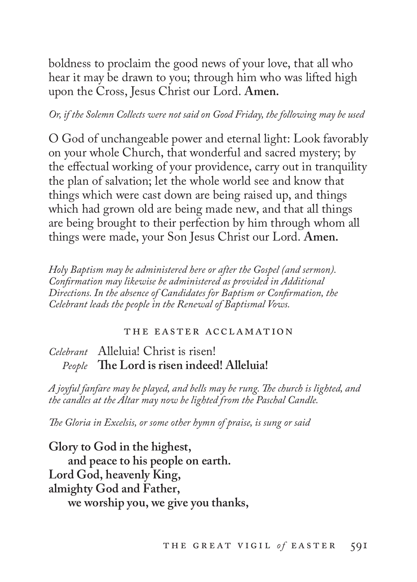boldness to proclaim the good news of your love, that all who hear it may be drawn to you; through him who was lifted high upon the Cross, Jesus Christ our Lord. **Amen.**

## *Or, if the Solemn Collects were not said on Good Friday, the following may be used*

O God of unchangeable power and eternal light: Look favorably on your whole Church, that wonderful and sacred mystery; by the effectual working of your providence, carry out in tranquility the plan of salvation; let the whole world see and know that things which were cast down are being raised up, and things which had grown old are being made new, and that all things are being brought to their perfection by him through whom all things were made, your Son Jesus Christ our Lord. **Amen.** 

*Holy Baptism may be administered here or after the Gospel (and sermon). Confirmation may likewise be administered as provided in Additional Directions. In the absence of Candidates for Baptism or Confirmation, the Celebrant leads the people in the Renewal of Baptismal Vows.* 

#### the easter acclamation

## *Celebrant* Alleluia! Christ is risen! *People* **The Lord is risen indeed! Alleluia!**

*A joyful fanfare may be played, and bells may be rung. The church is lighted, and the candles at the Altar may now be lighted from the Paschal Candle.*

*The Gloria in Excelsis, or some other hymn of praise, is sung or said*

**Glory to God in the highest, and peace to his people on earth. Lord God, heavenly King, almighty God and Father, we worship you, we give you thanks,**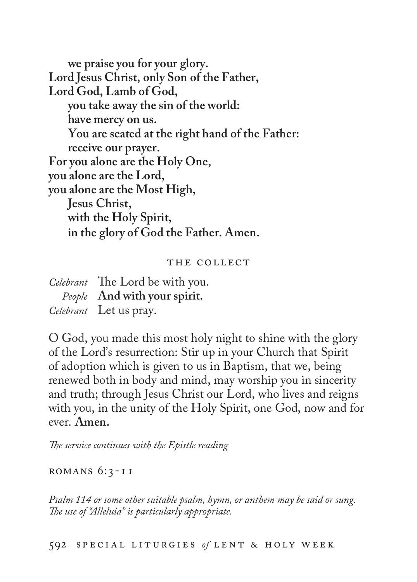**we praise you for your glory. Lord Jesus Christ, only Son of the Father, Lord God, Lamb of God, you take away the sin of the world: have mercy on us. You are seated at the right hand of the Father: receive our prayer. For you alone are the Holy One, you alone are the Lord, you alone are the Most High, Jesus Christ, with the Holy Spirit, in the glory of God the Father. Amen.**

#### THE COLLECT

| Celebrant The Lord be with you. |
|---------------------------------|
| People And with your spirit.    |
| <i>Celebrant</i> Let us pray.   |

O God, you made this most holy night to shine with the glory of the Lord's resurrection: Stir up in your Church that Spirit of adoption which is given to us in Baptism, that we, being renewed both in body and mind, may worship you in sincerity and truth; through Jesus Christ our Lord, who lives and reigns with you, in the unity of the Holy Spirit, one God, now and for ever. **Amen.**

*The service continues with the Epistle reading*

ROMANS  $6:3$ -11

*Psalm 114 or some other suitable psalm, hymn, or anthem may be said or sung. The use of "Alleluia" is particularly appropriate.*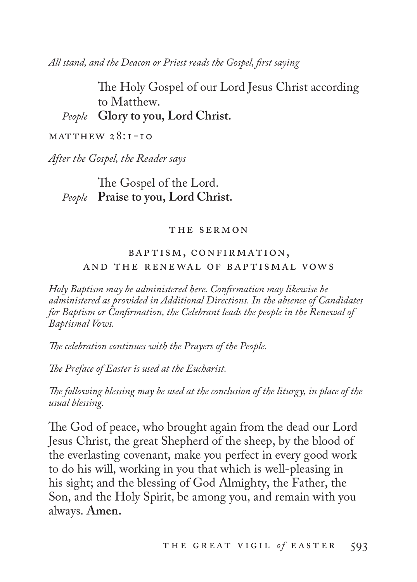*All stand, and the Deacon or Priest reads the Gospel, first saying* 

The Holy Gospel of our Lord Jesus Christ according to Matthew. *People* **Glory to you, Lord Christ.**

 $MATTHEW 28:1-10$ 

*After the Gospel, the Reader says*

## The Gospel of the Lord. *People* **Praise to you, Lord Christ.**

#### the sermon

## baptism, confirmation, and the renewal of baptismal vows

*Holy Baptism may be administered here. Confirmation may likewise be administered as provided in Additional Directions. In the absence of Candidates for Baptism or Confirmation, the Celebrant leads the people in the Renewal of Baptismal Vows.* 

*The celebration continues with the Prayers of the People.*

*The Preface of Easter is used at the Eucharist.*

*The following blessing may be used at the conclusion of the liturgy, in place of the usual blessing.*

The God of peace, who brought again from the dead our Lord Jesus Christ, the great Shepherd of the sheep, by the blood of the everlasting covenant, make you perfect in every good work to do his will, working in you that which is well-pleasing in his sight; and the blessing of God Almighty, the Father, the Son, and the Holy Spirit, be among you, and remain with you always. **Amen.**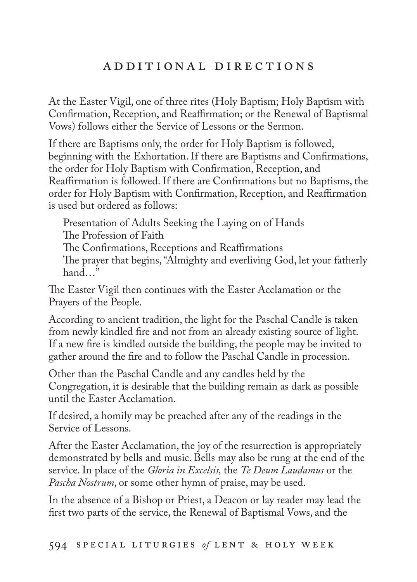# A D D I T I O N A L D I R E C T I O N S

At the Easter Vigil, one of three rites (Holy Baptism; Holy Baptism with Confirmation, Reception, and Reaffirmation; or the Renewal of Baptismal Vows) follows either the Service of Lessons or the Sermon.

If there are Baptisms only, the order for Holy Baptism is followed, beginning with the Exhortation. If there are Baptisms and Confirmations, the order for Holy Baptism with Confirmation, Reception, and Reaffirmation is followed. If there are Confirmations but no Baptisms, the order for Holy Baptism with Confirmation, Reception, and Reaffirmation is used but ordered as follows:

Presentation of Adults Seeking the Laying on of Hands The Profession of Faith The Confirmations, Receptions and Reaffirmations The prayer that begins, "Almighty and everliving God, let your fatherly hand  $\ddot{m}$ 

The Easter Vigil then continues with the Easter Acclamation or the Prayers of the People.

According to ancient tradition, the light for the Paschal Candle is taken from newly kindled fire and not from an already existing source of light. If a new fire is kindled outside the building, the people may be invited to gather around the fire and to follow the Paschal Candle in procession.

Other than the Paschal Candle and any candles held by the Congregation, it is desirable that the building remain as dark as possible until the Easter Acclamation.

If desired, a homily may be preached after any of the readings in the Service of Lessons.

After the Easter Acclamation, the joy of the resurrection is appropriately demonstrated by bells and music. Bells may also be rung at the end of the service. In place of the *Gloria in Excelsis,* the *Te Deum Laudamus* or the *Pascha Nostrum*, or some other hymn of praise, may be used.

In the absence of a Bishop or Priest, a Deacon or lay reader may lead the first two parts of the service, the Renewal of Baptismal Vows, and the